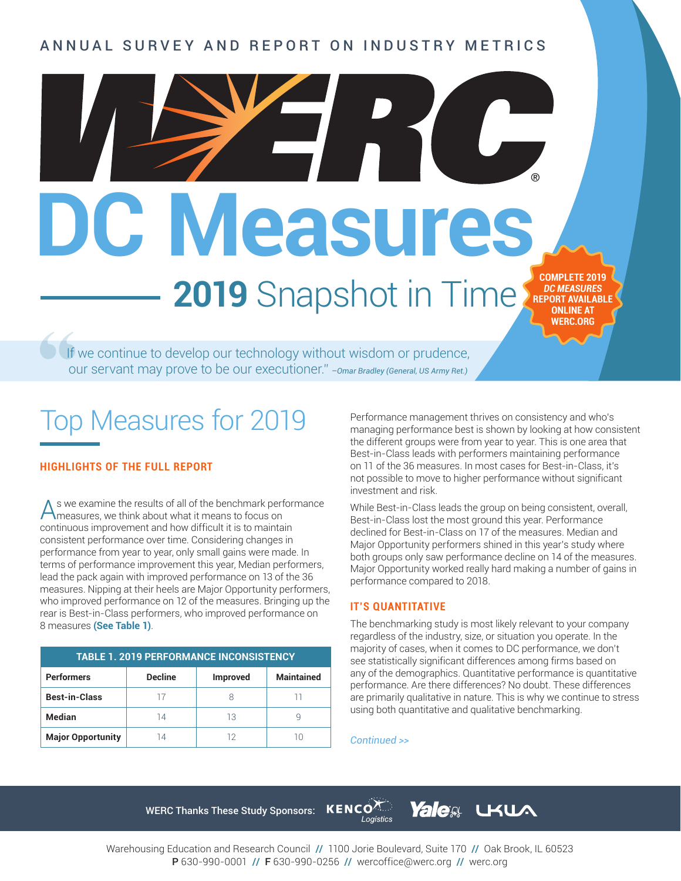#### WARD COULC'T AND REFORT ON INDOCTRY METHOD ANNUAL SURVEY AND REPORT ON INDUSTRY METRICS

DC Measures, **2019** Snapshot in Time

If we continue to develop our technology without wisdom or prudence, our servant may prove to be our executioner." *–Omar Bradley (General, US Army Ret.)*

## Top Measures for 2019

#### **HIGHLIGHTS OF THE FULL REPORT**

As we examine the results of all of the benchmark performance measures, we think about what it means to focus on continuous improvement and how difficult it is to maintain consistent performance over time. Considering changes in performance from year to year, only small gains were made. In terms of performance improvement this year, Median performers, lead the pack again with improved performance on 13 of the 36 measures. Nipping at their heels are Major Opportunity performers, who improved performance on 12 of the measures. Bringing up the rear is Best-in-Class performers, who improved performance on 8 measures **(See Table 1)**.

| <b>TABLE 1. 2019 PERFORMANCE INCONSISTENCY</b> |                |                 |                   |  |
|------------------------------------------------|----------------|-----------------|-------------------|--|
| <b>Performers</b>                              | <b>Decline</b> | <b>Improved</b> | <b>Maintained</b> |  |
| <b>Best-in-Class</b>                           |                |                 |                   |  |
| Median                                         | 14             | 13              |                   |  |
| <b>Major Opportunity</b>                       | 14             |                 |                   |  |

Performance management thrives on consistency and who's managing performance best is shown by looking at how consistent the different groups were from year to year. This is one area that Best-in-Class leads with performers maintaining performance on 11 of the 36 measures. In most cases for Best-in-Class, it's not possible to move to higher performance without significant investment and risk.

**COMPLETE 2019**  *DC MEASURES* **REPORT AVAILABLE ONLINE AT WERC.ORG**

While Best-in-Class leads the group on being consistent, overall, Best-in-Class lost the most ground this year. Performance declined for Best-in-Class on 17 of the measures. Median and Major Opportunity performers shined in this year's study where both groups only saw performance decline on 14 of the measures. Major Opportunity worked really hard making a number of gains in performance compared to 2018.

#### **IT'S QUANTITATIVE**

The benchmarking study is most likely relevant to your company regardless of the industry, size, or situation you operate. In the majority of cases, when it comes to DC performance, we don't see statistically significant differences among firms based on any of the demographics. Quantitative performance is quantitative performance. Are there differences? No doubt. These differences are primarily qualitative in nature. This is why we continue to stress using both quantitative and qualitative benchmarking.

**UKUA** 

#### *Continued >>*

**Yalea** 

WERC Thanks These Study Sponsors: KENCOA



Warehousing Education and Research Council // 1100 Jorie Boulevard, Suite 170 // Oak Brook, IL 60523 P 630-990-0001 // F 630-990-0256 // wercoffice@werc.org // werc.org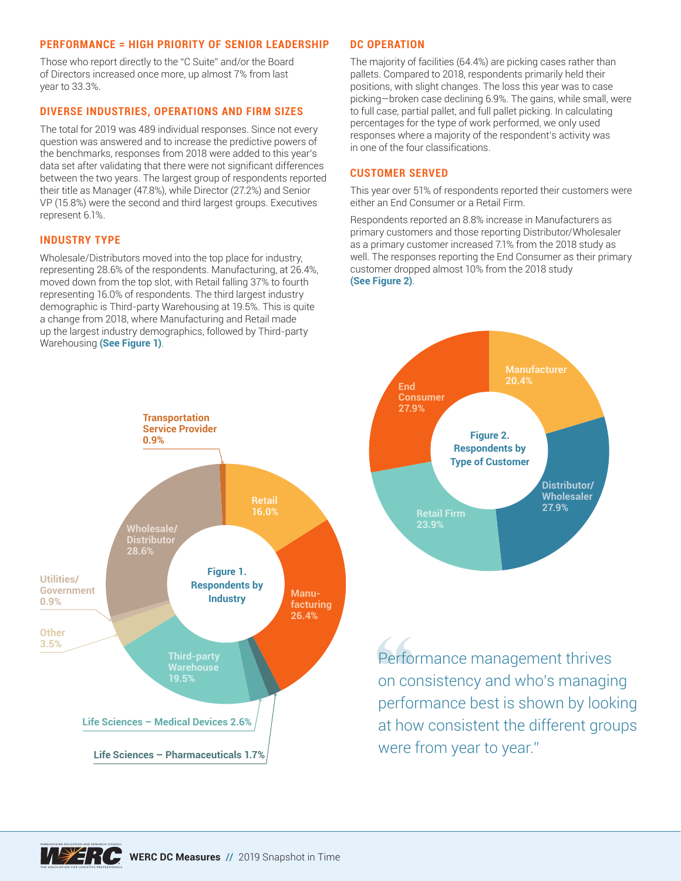#### **PERFORMANCE = HIGH PRIORITY OF SENIOR LEADERSHIP**

Those who report directly to the "C Suite" and/or the Board of Directors increased once more, up almost 7% from last year to 33.3%.

#### **DIVERSE INDUSTRIES, OPERATIONS AND FIRM SIZES**

The total for 2019 was 489 individual responses. Since not every question was answered and to increase the predictive powers of the benchmarks, responses from 2018 were added to this year's data set after validating that there were not significant differences between the two years. The largest group of respondents reported their title as Manager (47.8%), while Director (27.2%) and Senior VP (15.8%) were the second and third largest groups. Executives represent 6.1%.

#### **INDUSTRY TYPE**

WAREHOUSING EDUCATION AND RESEARCH COUNCIL

THE ASSOCIATION FOR LOGISTICS PROFESSIONALS

Wholesale/Distributors moved into the top place for industry, representing 28.6% of the respondents. Manufacturing, at 26.4%, moved down from the top slot, with Retail falling 37% to fourth representing 16.0% of respondents. The third largest industry demographic is Third-party Warehousing at 19.5%. This is quite a change from 2018, where Manufacturing and Retail made up the largest industry demographics, followed by Third-party Warehousing **(See Figure 1)**.

#### **DC OPERATION**

The majority of facilities (64.4%) are picking cases rather than pallets. Compared to 2018, respondents primarily held their positions, with slight changes. The loss this year was to case picking—broken case declining 6.9%. The gains, while small, were to full case, partial pallet, and full pallet picking. In calculating percentages for the type of work performed, we only used responses where a majority of the respondent's activity was in one of the four classifications.

#### **CUSTOMER SERVED**

This year over 51% of respondents reported their customers were either an End Consumer or a Retail Firm.

Respondents reported an 8.8% increase in Manufacturers as primary customers and those reporting Distributor/Wholesaler as a primary customer increased 7.1% from the 2018 study as well. The responses reporting the End Consumer as their primary customer dropped almost 10% from the 2018 study **(See Figure 2)**.





Performance management thrives on consistency and who's managing performance best is shown by looking at how consistent the different groups were from year to year."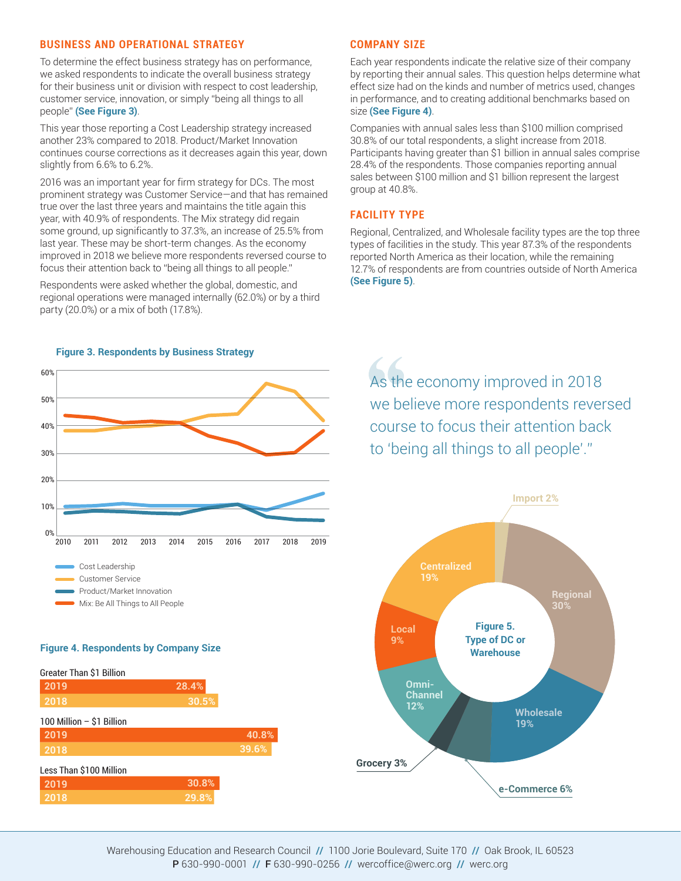#### **BUSINESS AND OPERATIONAL STRATEGY**

To determine the effect business strategy has on performance, we asked respondents to indicate the overall business strategy for their business unit or division with respect to cost leadership, customer service, innovation, or simply "being all things to all people" **(See Figure 3)**.

This year those reporting a Cost Leadership strategy increased another 23% compared to 2018. Product/Market Innovation continues course corrections as it decreases again this year, down slightly from 6.6% to 6.2%.

2016 was an important year for firm strategy for DCs. The most prominent strategy was Customer Service—and that has remained true over the last three years and maintains the title again this year, with 40.9% of respondents. The Mix strategy did regain some ground, up significantly to 37.3%, an increase of 25.5% from last year. These may be short-term changes. As the economy improved in 2018 we believe more respondents reversed course to focus their attention back to "being all things to all people."

Respondents were asked whether the global, domestic, and regional operations were managed internally (62.0%) or by a third party (20.0%) or a mix of both (17.8%).

#### **COMPANY SIZE**

Each year respondents indicate the relative size of their company by reporting their annual sales. This question helps determine what effect size had on the kinds and number of metrics used, changes in performance, and to creating additional benchmarks based on size **(See Figure 4)**.

Companies with annual sales less than \$100 million comprised 30.8% of our total respondents, a slight increase from 2018. Participants having greater than \$1 billion in annual sales comprise 28.4% of the respondents. Those companies reporting annual sales between \$100 million and \$1 billion represent the largest group at 40.8%.

#### **FACILITY TYPE**

Regional, Centralized, and Wholesale facility types are the top three types of facilities in the study. This year 87.3% of the respondents reported North America as their location, while the remaining 12.7% of respondents are from countries outside of North America **(See Figure 5)**.



## As the economy improved in 2018 we believe more respondents reversed course to focus their attention back to 'being all things to all people'."



#### **Figure 4. Respondents by Company Size**

| <b>Greater Than \$1 Billion</b> |       |       |
|---------------------------------|-------|-------|
| 2019                            | 28.4% |       |
| 2018                            | 30.5% |       |
| 100 Million - \$1 Billion       |       |       |
| 2019                            |       | 40.8% |
| 2018                            |       | 39.6% |
| Less Than \$100 Million         |       |       |
| 2019                            | 30.8% |       |
| 2018                            | 29.8% |       |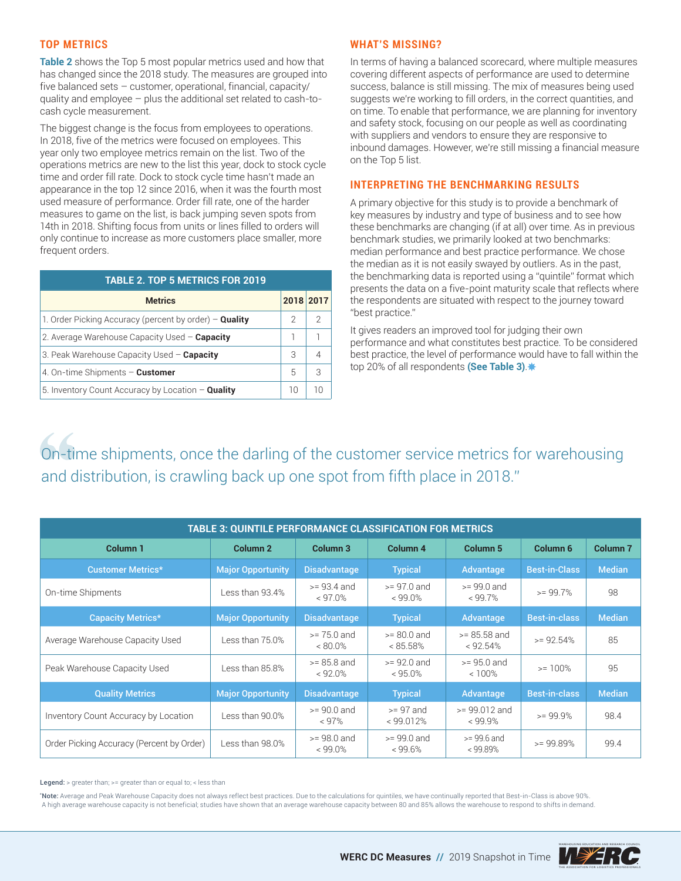#### **TOP METRICS**

**Table 2** shows the Top 5 most popular metrics used and how that has changed since the 2018 study. The measures are grouped into five balanced sets – customer, operational, financial, capacity/ quality and employee – plus the additional set related to cash-tocash cycle measurement.

The biggest change is the focus from employees to operations. In 2018, five of the metrics were focused on employees. This year only two employee metrics remain on the list. Two of the operations metrics are new to the list this year, dock to stock cycle time and order fill rate. Dock to stock cycle time hasn't made an appearance in the top 12 since 2016, when it was the fourth most used measure of performance. Order fill rate, one of the harder measures to game on the list, is back jumping seven spots from 14th in 2018. Shifting focus from units or lines filled to orders will only continue to increase as more customers place smaller, more frequent orders.

| <b>TABLE 2. TOP 5 METRICS FOR 2019</b>                   |    |           |  |  |
|----------------------------------------------------------|----|-----------|--|--|
| <b>Metrics</b>                                           |    | 2018 2017 |  |  |
| 1. Order Picking Accuracy (percent by order) $-$ Quality | 2  | 2         |  |  |
| 2. Average Warehouse Capacity Used - Capacity            |    |           |  |  |
| 3. Peak Warehouse Capacity Used - Capacity               | 3  |           |  |  |
| 4. On-time Shipments - <b>Customer</b>                   | 5  | З         |  |  |
| 5. Inventory Count Accuracy by Location - Quality        | 10 |           |  |  |

#### **WHAT'S MISSING?**

In terms of having a balanced scorecard, where multiple measures covering different aspects of performance are used to determine success, balance is still missing. The mix of measures being used suggests we're working to fill orders, in the correct quantities, and on time. To enable that performance, we are planning for inventory and safety stock, focusing on our people as well as coordinating with suppliers and vendors to ensure they are responsive to inbound damages. However, we're still missing a financial measure on the Top 5 list.

#### **INTERPRETING THE BENCHMARKING RESULTS**

A primary objective for this study is to provide a benchmark of key measures by industry and type of business and to see how these benchmarks are changing (if at all) over time. As in previous benchmark studies, we primarily looked at two benchmarks: median performance and best practice performance. We chose the median as it is not easily swayed by outliers. As in the past, the benchmarking data is reported using a "quintile" format which presents the data on a five-point maturity scale that reflects where the respondents are situated with respect to the journey toward "best practice."

It gives readers an improved tool for judging their own performance and what constitutes best practice. To be considered best practice, the level of performance would have to fall within the top 20% of all respondents **(See Table 3)**.

On-time shipments, once the darling of the customer service metrics for warehousing and distribution, is crawling back up one spot from fifth place in 2018."

| <b>TABLE 3: QUINTILE PERFORMANCE CLASSIFICATION FOR METRICS</b> |                          |                             |                              |                               |                      |                     |
|-----------------------------------------------------------------|--------------------------|-----------------------------|------------------------------|-------------------------------|----------------------|---------------------|
| Column <sub>1</sub>                                             | Column <sub>2</sub>      | Column <sub>3</sub>         | Column <sub>4</sub>          | Column <sub>5</sub>           | Column <sub>6</sub>  | Column <sub>7</sub> |
| <b>Customer Metrics*</b>                                        | <b>Major Opportunity</b> | <b>Disadvantage</b>         | <b>Typical</b>               | Advantage                     | <b>Best-in-Class</b> | <b>Median</b>       |
| On-time Shipments                                               | Less than 93.4%          | $>= 93.4$ and<br>$< 97.0\%$ | $>= 97.0$ and<br>$< 99.0\%$  | $>= 99.0$ and<br>$< 99.7\%$   | $>= 99.7%$           | 98                  |
| <b>Capacity Metrics*</b>                                        | <b>Major Opportunity</b> | <b>Disadvantage</b>         | <b>Typical</b>               | Advantage                     | <b>Best-in-class</b> | <b>Median</b>       |
| Average Warehouse Capacity Used                                 | Less than $75.0%$        | $>= 75.0$ and<br>$< 80.0\%$ | $>= 80.0$ and<br>$< 85.58\%$ | $>= 85.58$ and<br>$< 92.54\%$ | $= 92.54%$           | 85                  |
| Peak Warehouse Capacity Used                                    | Less than 85.8%          | $>= 85.8$ and<br>$< 92.0\%$ | $>= 92.0$ and<br>$< 95.0\%$  | $>= 95.0$ and<br>$< 100\%$    | $>= 100%$            | 95                  |
| <b>Quality Metrics</b>                                          | <b>Major Opportunity</b> | <b>Disadvantage</b>         | <b>Typical</b>               | Advantage                     | <b>Best-in-class</b> | <b>Median</b>       |
| Inventory Count Accuracy by Location                            | Less than 90.0%          | $>= 90.0$ and<br>$< 97\%$   | $>= 97$ and<br>$< 99.012\%$  | $>= 99.012$ and<br>$< 99.9\%$ | $>= 99.9%$           | 98.4                |
| Order Picking Accuracy (Percent by Order)                       | Less than 98.0%          | $>= 98.0$ and<br>$< 99.0\%$ | $>= 99.0$ and<br>$< 99.6\%$  | $>= 99.6$ and<br>$< 99.89\%$  | $= 99.89%$           | 99.4                |

Legend: > greater than; >= greater than or equal to; < less than

\* Note: Average and Peak Warehouse Capacity does not always reflect best practices. Due to the calculations for quintiles, we have continually reported that Best-in-Class is above 90%. A high average warehouse capacity is not beneficial; studies have shown that an average warehouse capacity between 80 and 85% allows the warehouse to respond to shifts in demand.

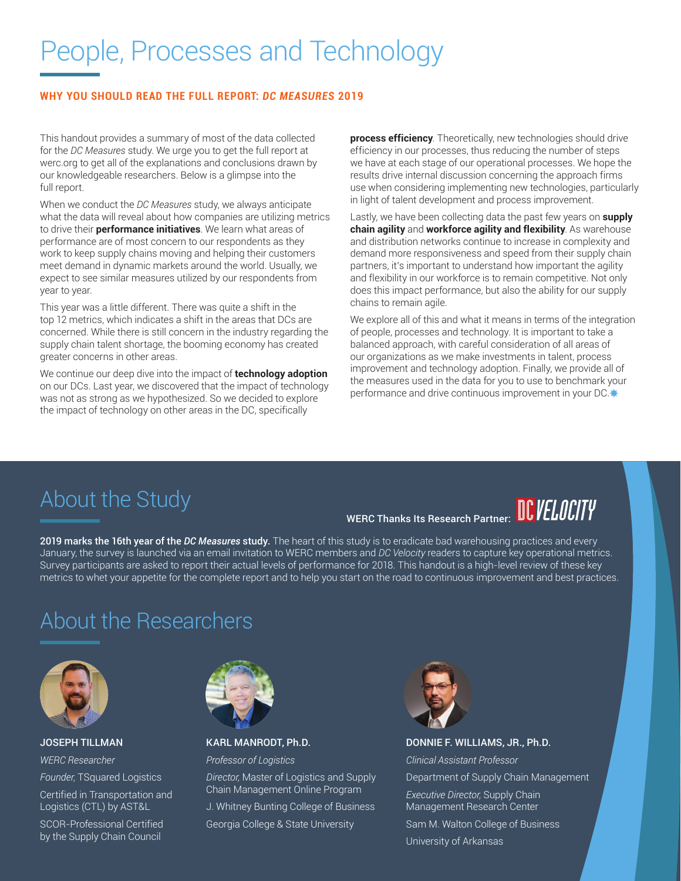# People, Processes and Technology

#### **WHY YOU SHOULD READ THE FULL REPORT:** *DC MEASURES* **2019**

This handout provides a summary of most of the data collected for the *DC Measures* study. We urge you to get the full report at werc.org to get all of the explanations and conclusions drawn by our knowledgeable researchers. Below is a glimpse into the full report.

When we conduct the *DC Measures* study, we always anticipate what the data will reveal about how companies are utilizing metrics to drive their **performance initiatives**. We learn what areas of performance are of most concern to our respondents as they work to keep supply chains moving and helping their customers meet demand in dynamic markets around the world. Usually, we expect to see similar measures utilized by our respondents from year to year.

This year was a little different. There was quite a shift in the top 12 metrics, which indicates a shift in the areas that DCs are concerned. While there is still concern in the industry regarding the supply chain talent shortage, the booming economy has created greater concerns in other areas.

We continue our deep dive into the impact of **technology adoption** on our DCs. Last year, we discovered that the impact of technology was not as strong as we hypothesized. So we decided to explore the impact of technology on other areas in the DC, specifically

**process efficiency**. Theoretically, new technologies should drive efficiency in our processes, thus reducing the number of steps we have at each stage of our operational processes. We hope the results drive internal discussion concerning the approach firms use when considering implementing new technologies, particularly in light of talent development and process improvement.

Lastly, we have been collecting data the past few years on **supply chain agility** and **workforce agility and flexibility**. As warehouse and distribution networks continue to increase in complexity and demand more responsiveness and speed from their supply chain partners, it's important to understand how important the agility and flexibility in our workforce is to remain competitive. Not only does this impact performance, but also the ability for our supply chains to remain agile.

We explore all of this and what it means in terms of the integration of people, processes and technology. It is important to take a balanced approach, with careful consideration of all areas of our organizations as we make investments in talent, process improvement and technology adoption. Finally, we provide all of the measures used in the data for you to use to benchmark your performance and drive continuous improvement in your DC.

## About the Study

# WERC Thanks Its Research Partner: REVELOCITY

2019 marks the 16th year of the *DC Measures* study. The heart of this study is to eradicate bad warehousing practices and every January, the survey is launched via an email invitation to WERC members and *DC Velocity* readers to capture key operational metrics. Survey participants are asked to report their actual levels of performance for 2018. This handout is a high-level review of these key metrics to whet your appetite for the complete report and to help you start on the road to continuous improvement and best practices.

## About the Researchers



JOSEPH TILLMAN *WERC Researcher*

*Founder,* TSquared Logistics

Certified in Transportation and Logistics (CTL) by AST&L

SCOR-Professional Certified by the Supply Chain Council



KARL MANRODT, Ph.D.

*Professor of Logistics* 

*Director,* Master of Logistics and Supply Chain Management Online Program J. Whitney Bunting College of Business

Georgia College & State University



#### DONNIE F. WILLIAMS, JR., Ph.D.

*Clinical Assistant Professor* Department of Supply Chain Management *Executive Director,* Supply Chain Management Research Center

Sam M. Walton College of Business University of Arkansas